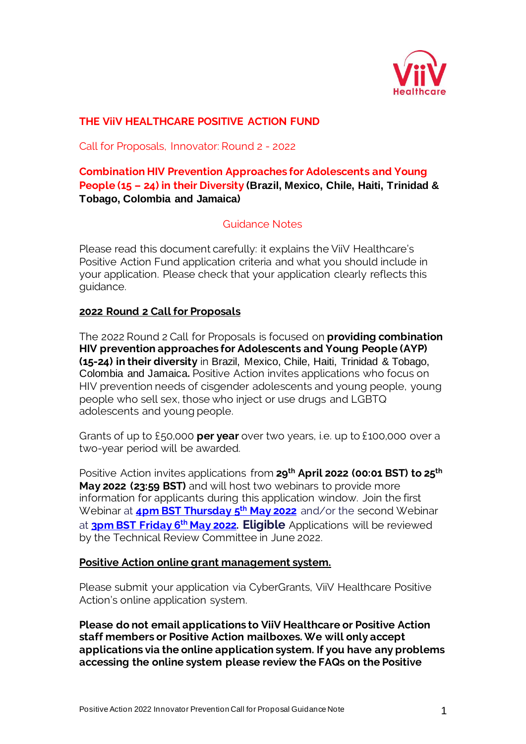

## **THE ViiV HEALTHCARE POSITIVE ACTION FUND**

Call for Proposals, Innovator: Round 2 - 2022

## **Combination HIV Prevention Approaches for Adolescents and Young People (15 – 24) in their Diversity (Brazil, Mexico, Chile, Haiti, Trinidad & Tobago, Colombia and Jamaica)**

## Guidance Notes

Please read this document carefully: it explains the ViiV Healthcare's Positive Action Fund application criteria and what you should include in your application. Please check that your application clearly reflects this guidance.

### **2022 Round 2 Call for Proposals**

The 2022 Round 2 Call for Proposals is focused on **providing combination HIV prevention approaches for Adolescents and Young People (AYP) (15-24) in their diversity** in Brazil, Mexico, Chile, Haiti, Trinidad & Tobago, Colombia and Jamaica**.** Positive Action invites applications who focus on HIV prevention needs of cisgender adolescents and young people, young people who sell sex, those who inject or use drugs and LGBTQ adolescents and young people.

Grants of up to £50,000 **per year** over two years, i.e. up to £100,000 over a two-year period will be awarded.

Positive Action invites applications from **29th April 2022 (00:01 BST) to 25th May 2022 (23:59 BST)** and will host two webinars to provide more information for applicants during this application window. Join the first Webinar at **4pm BST [Thursday 5](https://gskmeeting.webex.com/gskmeeting/j.php?MTID=m6b6e0e38d6b67c9218ba40dd9aee9e03) th May 2022** and/or the second Webinar at **3pm [BST Friday 6](https://gskmeeting.webex.com/gskmeeting/j.php?MTID=m61010e799e948744dbb84748fbf28c1b) th May 2022. Eligible** Applications will be reviewed by the Technical Review Committee in June 2022.

#### **Positive Action online grant management system.**

Please submit your application via CyberGrants, ViiV Healthcare Positive Action's online application system.

**Please do not email applications to ViiV Healthcare or Positive Action staff members or Positive Action mailboxes. We will only accept applications via the online application system. If you have any problems accessing the online system please review the FAQs on the Positive**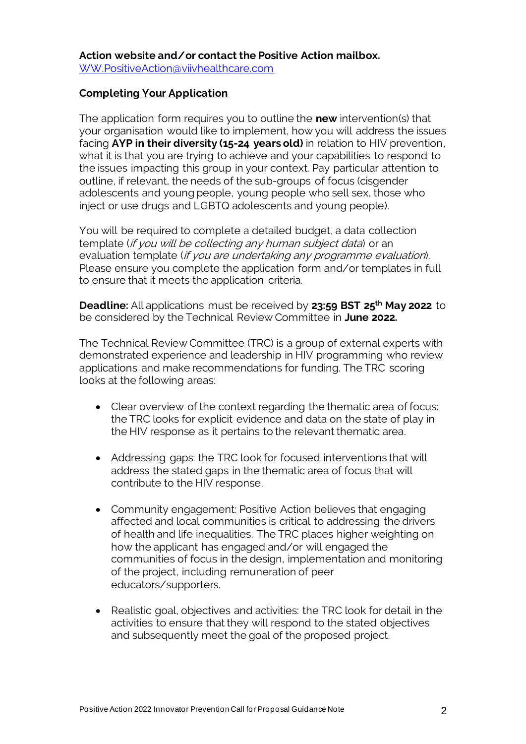### **Completing Your Application**

The application form requires you to outline the **new** intervention(s) that your organisation would like to implement, how you will address the issues facing **AYP in their diversity (15-24 years old)** in relation to HIV prevention, what it is that you are trying to achieve and your capabilities to respond to the issues impacting this group in your context. Pay particular attention to outline, if relevant, the needs of the sub-groups of focus (cisgender adolescents and young people, young people who sell sex, those who inject or use drugs and LGBTQ adolescents and young people).

You will be required to complete a detailed budget, a data collection template (if you will be collecting any human subject data) or an evaluation template (if you are undertaking any programme evaluation). Please ensure you complete the application form and/or templates in full to ensure that it meets the application criteria.

**Deadline:** All applications must be received by **23:59 BST 25th May 2022** to be considered by the Technical Review Committee in **June 2022.**

The Technical Review Committee (TRC) is a group of external experts with demonstrated experience and leadership in HIV programming who review applications and make recommendations for funding. The TRC scoring looks at the following areas:

- Clear overview of the context regarding the thematic area of focus: the TRC looks for explicit evidence and data on the state of play in the HIV response as it pertains to the relevant thematic area.
- Addressing gaps: the TRC look for focused interventions that will address the stated gaps in the thematic area of focus that will contribute to the HIV response.
- Community engagement: Positive Action believes that engaging affected and local communities is critical to addressing the drivers of health and life inequalities. The TRC places higher weighting on how the applicant has engaged and/or will engaged the communities of focus in the design, implementation and monitoring of the project, including remuneration of peer educators/supporters.
- Realistic goal, objectives and activities: the TRC look for detail in the activities to ensure that they will respond to the stated objectives and subsequently meet the goal of the proposed project.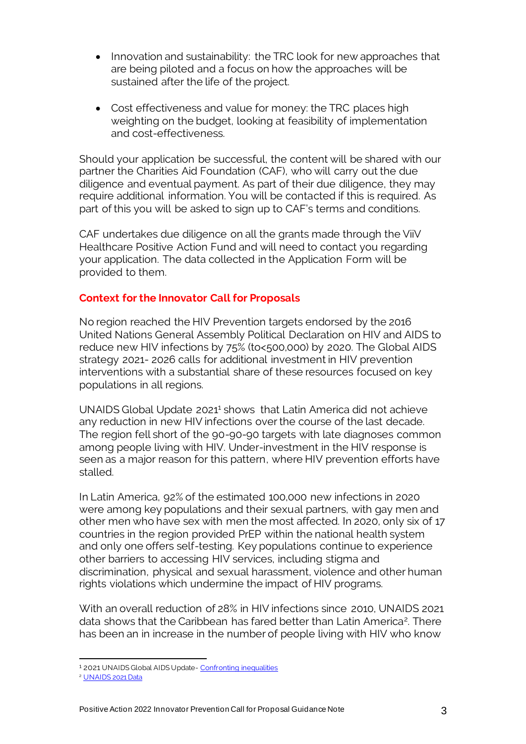- Innovation and sustainability: the TRC look for new approaches that are being piloted and a focus on how the approaches will be sustained after the life of the project.
- Cost effectiveness and value for money: the TRC places high weighting on the budget, looking at feasibility of implementation and cost-effectiveness.

Should your application be successful, the content will be shared with our partner the Charities Aid Foundation (CAF), who will carry out the due diligence and eventual payment. As part of their due diligence, they may require additional information. You will be contacted if this is required. As part of this you will be asked to sign up to CAF's terms and conditions.

CAF undertakes due diligence on all the grants made through the ViiV Healthcare Positive Action Fund and will need to contact you regarding your application. The data collected in the Application Form will be provided to them.

### **Context for the Innovator Call for Proposals**

No region reached the HIV Prevention targets endorsed by the 2016 United Nations General Assembly Political Declaration on HIV and AIDS to reduce new HIV infections by 75% (to<500,000) by 2020. The Global AIDS strategy 2021- 2026 calls for additional investment in HIV prevention interventions with a substantial share of these resources focused on key populations in all regions.

UNAIDS Global Update 2021<sup>1</sup> shows that Latin America did not achieve any reduction in new HIV infections over the course of the last decade. The region fell short of the 90-90-90 targets with late diagnoses common among people living with HIV. Under-investment in the HIV response is seen as a major reason for this pattern, where HIV prevention efforts have stalled.

In Latin America, 92% of the estimated 100,000 new infections in 2020 were among key populations and their sexual partners, with gay men and other men who have sex with men the most affected. In 2020, only six of 17 countries in the region provided PrEP within the national health system and only one offers self-testing. Key populations continue to experience other barriers to accessing HIV services, including stigma and discrimination, physical and sexual harassment, violence and other human rights violations which undermine the impact of HIV programs.

With an overall reduction of 28% in HIV infections since 2010, UNAIDS 2021 data shows that the Caribbean has fared better than Latin America<sup>2</sup>. There has been an in increase in the number of people living with HIV who know

<sup>1</sup> 2021 UNAIDS Global AIDS Update- [Confronting inequalities](https://www.unaids.org/en/resources/documents/2021/2021-global-aids-update)

<sup>&</sup>lt;sup>2</sup> [UNAIDS 2021 Data](https://www.unaids.org/sites/default/files/media_asset/JC3032_AIDS_Data_book_2021_En.pdf)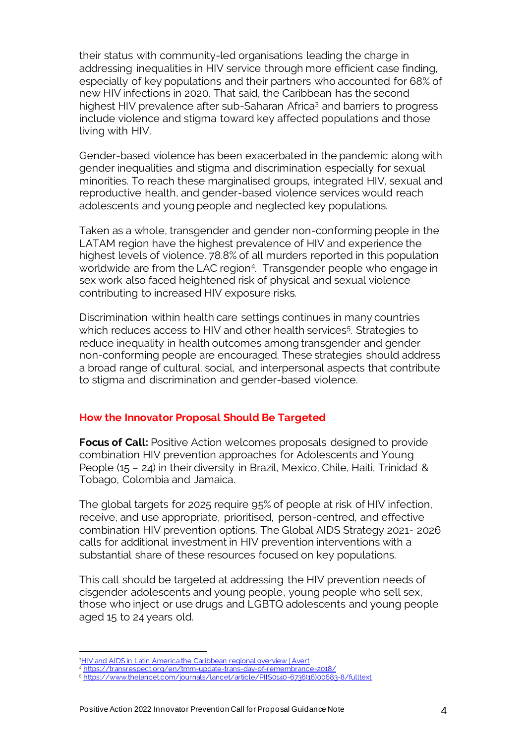their status with community-led organisations leading the charge in addressing inequalities in HIV service through more efficient case finding, especially of key populations and their partners who accounted for 68% of new HIV infections in 2020. That said, the Caribbean has the second highest HIV prevalence after sub-Saharan Africa<sup>3</sup> and barriers to progress include violence and stigma toward key affected populations and those living with HIV.

Gender-based violence has been exacerbated in the pandemic along with gender inequalities and stigma and discrimination especially for sexual minorities. To reach these marginalised groups, integrated HIV, sexual and reproductive health, and gender-based violence services would reach adolescents and young people and neglected key populations.

Taken as a whole, transgender and gender non-conforming people in the LATAM region have the highest prevalence of HIV and experience the highest levels of violence. 78.8% of all murders reported in this population worldwide are from the LAC region<sup>4</sup>. Transgender people who engage in sex work also faced heightened risk of physical and sexual violence contributing to increased HIV exposure risks.

Discrimination within health care settings continues in many countries which reduces access to HIV and other health services<sup>5</sup>. Strategies to reduce inequality in health outcomes among transgender and gender non-conforming people are encouraged. These strategies should address a broad range of cultural, social, and interpersonal aspects that contribute to stigma and discrimination and gender-based violence.

#### **How the Innovator Proposal Should Be Targeted**

**Focus of Call:** Positive Action welcomes proposals designed to provide combination HIV prevention approaches for Adolescents and Young People (15 – 24) in their diversity in Brazil, Mexico, Chile, Haiti, Trinidad & Tobago, Colombia and Jamaica.

The global targets for 2025 require 95% of people at risk of HIV infection, receive, and use appropriate, prioritised, person-centred, and effective combination HIV prevention options. The Global AIDS Strategy 2021- 2026 calls for additional investment in HIV prevention interventions with a substantial share of these resources focused on key populations.

This call should be targeted at addressing the HIV prevention needs of cisgender adolescents and young people, young people who sell sex, those who inject or use drugs and LGBTQ adolescents and young people aged 15 to 24 years old.

<sup>3</sup>HIV and AIDS in Latin America the Caribbean regional overview | Avert

<sup>4</sup> <https://transrespect.org/en/tmm-update-trans-day-of-remembrance-2018/>

<sup>5</sup> [https://www.thelancet.com/journals/lancet/article/PIIS0140-6736\(16\)00683-8/fulltext](https://www.thelancet.com/journals/lancet/article/PIIS0140-6736(16)00683-8/fulltext)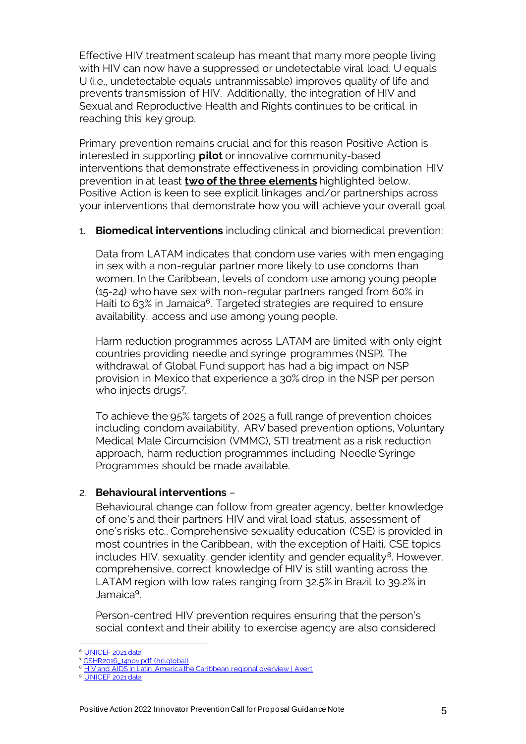Effective HIV treatment scaleup has meant that many more people living with HIV can now have a suppressed or undetectable viral load. U equals U (i.e., undetectable equals untranmissable) improves quality of life and prevents transmission of HIV. Additionally, the integration of HIV and Sexual and Reproductive Health and Rights continues to be critical in reaching this key group.

Primary prevention remains crucial and for this reason Positive Action is interested in supporting **pilot** or innovative community-based interventions that demonstrate effectiveness in providing combination HIV prevention in at least **two of the three elements** highlighted below. Positive Action is keen to see explicit linkages and/or partnerships across your interventions that demonstrate how you will achieve your overall goal

1. **Biomedical interventions** including clinical and biomedical prevention:

Data from LATAM indicates that condom use varies with men engaging in sex with a non-regular partner more likely to use condoms than women. In the Caribbean, levels of condom use among young people (15-24) who have sex with non-regular partners ranged from 60% in Haiti to 63% in Jamaica<sup>6</sup>. Targeted strategies are required to ensure availability, access and use among young people.

Harm reduction programmes across LATAM are limited with only eight countries providing needle and syringe programmes (NSP). The withdrawal of Global Fund support has had a big impact on NSP provision in Mexico that experience a 30% drop in the NSP per person who injects drugs<sup>7</sup>.

To achieve the 95% targets of 2025 a full range of prevention choices including condom availability, ARV based prevention options, Voluntary Medical Male Circumcision (VMMC), STI treatment as a risk reduction approach, harm reduction programmes including Needle Syringe Programmes should be made available.

# 2. **Behavioural interventions** –

Behavioural change can follow from greater agency, better knowledge of one's and their partners HIV and viral load status, assessment of one's risks etc.. Comprehensive sexuality education (CSE) is provided in most countries in the Caribbean, with the exception of Haiti. CSE topics includes HIV, sexuality, gender identity and gender equality<sup>8</sup>. However, comprehensive, correct knowledge of HIV is still wanting across the LATAM region with low rates ranging from 32.5% in Brazil to 39.2% in Jamaica<sup>9</sup> .

Person-centred HIV prevention requires ensuring that the person's social context and their ability to exercise agency are also considered

<sup>&</sup>lt;sup>6</sup> [UNICEF 2021 data](https://data.unicef.org/resources/dataset/hiv-aids-statistical-tables/)

<sup>7</sup> [GSHR2016\\_14nov.pdf \(hri.global\)](https://www.hri.global/files/2016/11/14/GSHR2016_14nov.pdf)

**[HIV and AIDS in Latin America the Caribbean regional overview | Avert](https://www.avert.org/professionals/hiv-around-world/latin-america/overview#HIV_prevention_programmes_in_Latin_Ameri)** 

<sup>&</sup>lt;sup>9</sup> [UNICEF 2021 data](https://data.unicef.org/resources/dataset/hiv-aids-statistical-tables/)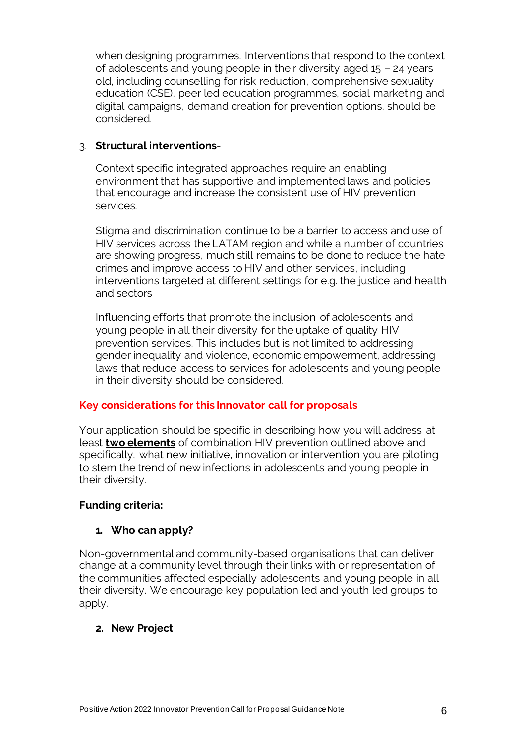when designing programmes. Interventions that respond to the context of adolescents and young people in their diversity aged 15 – 24 years old, including counselling for risk reduction, comprehensive sexuality education (CSE), peer led education programmes, social marketing and digital campaigns, demand creation for prevention options, should be considered.

## 3. **Structural interventions**-

Context specific integrated approaches require an enabling environment that has supportive and implemented laws and policies that encourage and increase the consistent use of HIV prevention services.

Stigma and discrimination continue to be a barrier to access and use of HIV services across the LATAM region and while a number of countries are showing progress, much still remains to be done to reduce the hate crimes and improve access to HIV and other services, including interventions targeted at different settings for e.g. the justice and health and sectors

Influencing efforts that promote the inclusion of adolescents and young people in all their diversity for the uptake of quality HIV prevention services. This includes but is not limited to addressing gender inequality and violence, economic empowerment, addressing laws that reduce access to services for adolescents and young people in their diversity should be considered.

## **Key considerations for this Innovator call for proposals**

Your application should be specific in describing how you will address at least **two elements** of combination HIV prevention outlined above and specifically, what new initiative, innovation or intervention you are piloting to stem the trend of new infections in adolescents and young people in their diversity.

## **Funding criteria:**

## **1. Who can apply?**

Non-governmental and community-based organisations that can deliver change at a community level through their links with or representation of the communities affected especially adolescents and young people in all their diversity. We encourage key population led and youth led groups to apply.

## **2. New Project**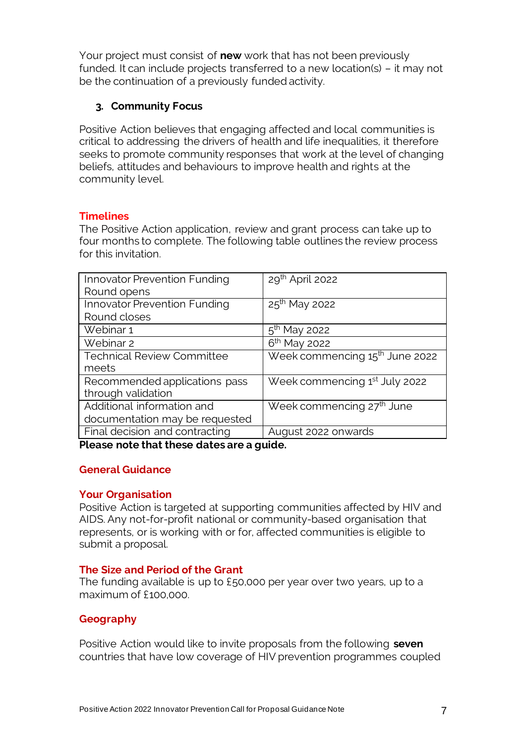Your project must consist of **new** work that has not been previously funded. It can include projects transferred to a new location(s) – it may not be the continuation of a previously funded activity.

## **3. Community Focus**

Positive Action believes that engaging affected and local communities is critical to addressing the drivers of health and life inequalities, it therefore seeks to promote community responses that work at the level of changing beliefs, attitudes and behaviours to improve health and rights at the community level.

## **Timelines**

The Positive Action application, review and grant process can take up to four months to complete. The following table outlines the review process for this invitation.

| Innovator Prevention Funding        | 29th April 2022                            |
|-------------------------------------|--------------------------------------------|
| Round opens                         |                                            |
| <b>Innovator Prevention Funding</b> | $25th$ May 2022                            |
| Round closes                        |                                            |
| Webinar 1                           | $5th$ May 2022                             |
| Webinar 2                           | 6 <sup>th</sup> May 2022                   |
| <b>Technical Review Committee</b>   | Week commencing 15 <sup>th</sup> June 2022 |
| meets                               |                                            |
| Recommended applications pass       | Week commencing 1 <sup>st</sup> July 2022  |
| through validation                  |                                            |
| Additional information and          | Week commencing 27 <sup>th</sup> June      |
| documentation may be requested      |                                            |
| Final decision and contracting      | August 2022 onwards                        |

**Please note that these dates are a guide.** 

## **General Guidance**

#### **Your Organisation**

Positive Action is targeted at supporting communities affected by HIV and AIDS. Any not-for-profit national or community-based organisation that represents, or is working with or for, affected communities is eligible to submit a proposal.

## **The Size and Period of the Grant**

The funding available is up to £50,000 per year over two years, up to a maximum of £100,000.

## **Geography**

Positive Action would like to invite proposals from the following **seven**  countries that have low coverage of HIV prevention programmes coupled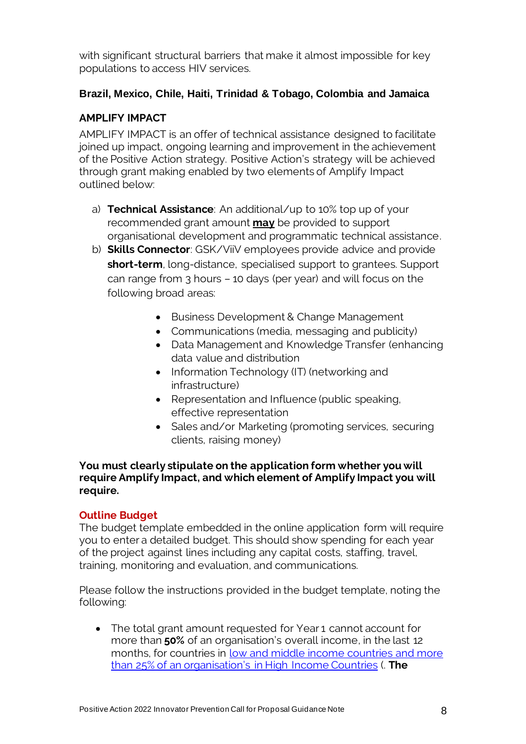with significant structural barriers that make it almost impossible for key populations to access HIV services.

# **Brazil, Mexico, Chile, Haiti, Trinidad & Tobago, Colombia and Jamaica**

# **AMPLIFY IMPACT**

AMPLIFY IMPACT is an offer of technical assistance designed to facilitate joined up impact, ongoing learning and improvement in the achievement of the Positive Action strategy. Positive Action's strategy will be achieved through grant making enabled by two elements of Amplify Impact outlined below:

- a) **Technical Assistance**: An additional/up to 10% top up of your recommended grant amount **may** be provided to support organisational development and programmatic technical assistance.
- b) **Skills Connector**: GSK/ViiV employees provide advice and provide **short-term**, long-distance, specialised support to grantees. Support can range from 3 hours – 10 days (per year) and will focus on the following broad areas:
	- Business Development & Change Management
	- Communications (media, messaging and publicity)
	- Data Management and Knowledge Transfer (enhancing data value and distribution
	- Information Technology (IT) (networking and infrastructure)
	- Representation and Influence (public speaking, effective representation
	- Sales and/or Marketing (promoting services, securing clients, raising money)

**You must clearly stipulate on the application form whether you will require Amplify Impact, and which element of Amplify Impact you will require.** 

## **Outline Budget**

The budget template embedded in the online application form will require you to enter a detailed budget. This should show spending for each year of the project against lines including any capital costs, staffing, travel, training, monitoring and evaluation, and communications.

Please follow the instructions provided in the budget template, noting the following:

• The total grant amount requested for Year 1 cannot account for more than **50%** of an organisation's overall income, in the last 12 months, for countries in low and middle income countries and more [than 25% of an organisation's in H](World%20Bank%20Country%20and%20Lending%20Groups%20–%20World%20Bank%20Data%20Help%20Desk%20(or%2010%25%20over%20a%2012-month%20period%20for%20US-based%20organisations))igh Income Countries (. **The**